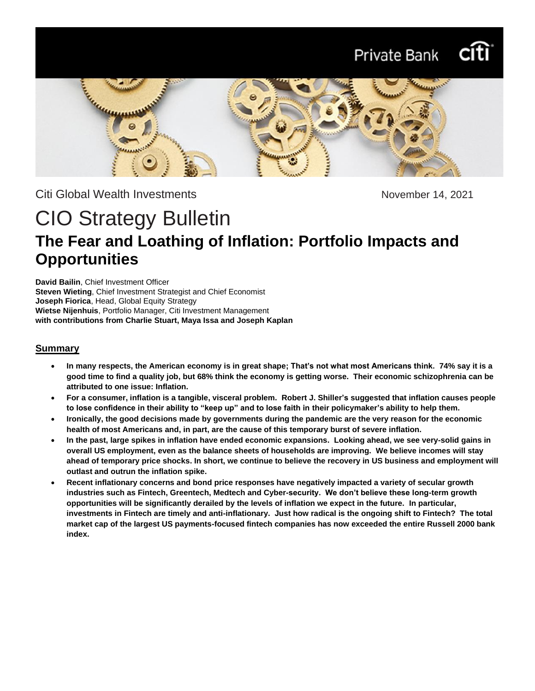# Private Bank



Citi Global Wealth Investments **November 14, 2021** 

# CIO Strategy Bulletin **The Fear and Loathing of Inflation: Portfolio Impacts and Opportunities**

**David Bailin**, Chief Investment Officer **Steven Wieting**, Chief Investment Strategist and Chief Economist **Joseph Fiorica**, Head, Global Equity Strategy **Wietse Nijenhuis**, Portfolio Manager, Citi Investment Management **with contributions from Charlie Stuart, Maya Issa and Joseph Kaplan**

#### **Summary**

- **In many respects, the American economy is in great shape; That's not what most Americans think. 74% say it is a good time to find a quality job, but 68% think the economy is getting worse. Their economic schizophrenia can be attributed to one issue: Inflation.**
- **For a consumer, inflation is a tangible, visceral problem. Robert J. Shiller's suggested that inflation causes people to lose confidence in their ability to "keep up" and to lose faith in their policymaker's ability to help them.**
- **Ironically, the good decisions made by governments during the pandemic are the very reason for the economic health of most Americans and, in part, are the cause of this temporary burst of severe inflation.**
- **In the past, large spikes in inflation have ended economic expansions. Looking ahead, we see very-solid gains in overall US employment, even as the balance sheets of households are improving. We believe incomes will stay ahead of temporary price shocks. In short, we continue to believe the recovery in US business and employment will outlast and outrun the inflation spike.**
- **Recent inflationary concerns and bond price responses have negatively impacted a variety of secular growth industries such as Fintech, Greentech, Medtech and Cyber-security. We don't believe these long-term growth opportunities will be significantly derailed by the levels of inflation we expect in the future. In particular, investments in Fintech are timely and anti-inflationary. Just how radical is the ongoing shift to Fintech? The total market cap of the largest US payments-focused fintech companies has now exceeded the entire Russell 2000 bank index.**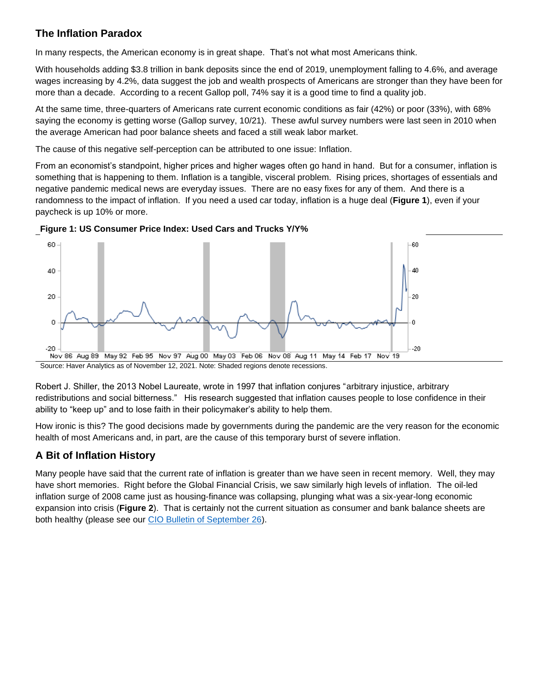# **The Inflation Paradox**

In many respects, the American economy is in great shape. That's not what most Americans think.

With households adding \$3.8 trillion in bank deposits since the end of 2019, unemployment falling to 4.6%, and average wages increasing by 4.2%, data suggest the job and wealth prospects of Americans are stronger than they have been for more than a decade. According to a recent Gallop poll, 74% say it is a good time to find a quality job.

At the same time, three-quarters of Americans rate current economic conditions as fair (42%) or poor (33%), with 68% saying the economy is getting worse (Gallop survey, 10/21). These awful survey numbers were last seen in 2010 when the average American had poor balance sheets and faced a still weak labor market.

The cause of this negative self-perception can be attributed to one issue: Inflation.

From an economist's standpoint, higher prices and higher wages often go hand in hand. But for a consumer, inflation is something that is happening to them. Inflation is a tangible, visceral problem. Rising prices, shortages of essentials and negative pandemic medical news are everyday issues. There are no easy fixes for any of them. And there is a randomness to the impact of inflation. If you need a used car today, inflation is a huge deal (**Figure 1**), even if your paycheck is up 10% or more.





Source: Haver Analytics as of November 12, 2021. Note: Shaded regions denote recessions.

Robert J. Shiller, the 2013 Nobel Laureate, wrote in 1997 that inflation conjures "arbitrary injustice, arbitrary redistributions and social bitterness." His research suggested that inflation causes people to lose confidence in their ability to "keep up" and to lose faith in their policymaker's ability to help them.

How ironic is this? The good decisions made by governments during the pandemic are the very reason for the economic health of most Americans and, in part, are the cause of this temporary burst of severe inflation.

# **A Bit of Inflation History**

Many people have said that the current rate of inflation is greater than we have seen in recent memory. Well, they may have short memories. Right before the Global Financial Crisis, we saw similarly high levels of inflation. The oil-led inflation surge of 2008 came just as housing-finance was collapsing, plunging what was a six-year-long economic expansion into crisis (**Figure 2**). That is certainly not the current situation as consumer and bank balance sheets are both healthy (please see our [CIO Bulletin of September 26\)](https://www.privatebank.citibank.com/ivc/docs/quadrant/CIOBulletin09262021.pdf).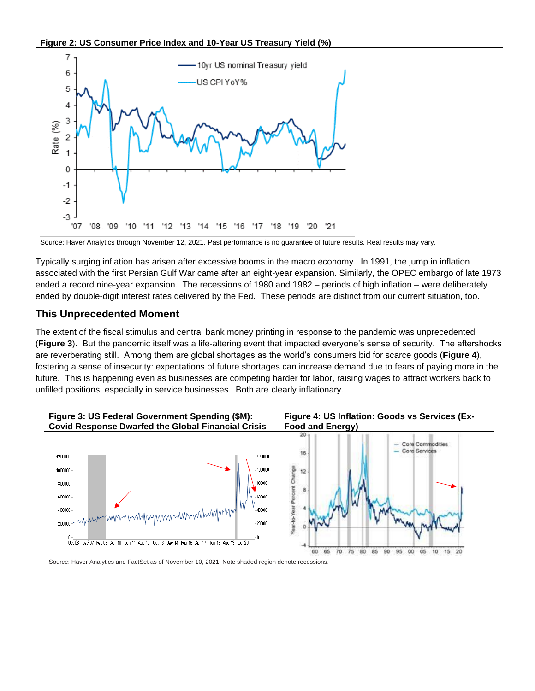**Figure 2: US Consumer Price Index and 10-Year US Treasury Yield (%)**



Source: Haver Analytics through November 12, 2021. Past performance is no guarantee of future results. Real results may vary.

Typically surging inflation has arisen after excessive booms in the macro economy. In 1991, the jump in inflation associated with the first Persian Gulf War came after an eight-year expansion. Similarly, the OPEC embargo of late 1973 ended a record nine-year expansion. The recessions of 1980 and 1982 – periods of high inflation – were deliberately ended by double-digit interest rates delivered by the Fed. These periods are distinct from our current situation, too.

#### **This Unprecedented Moment**

The extent of the fiscal stimulus and central bank money printing in response to the pandemic was unprecedented (**Figure 3**). But the pandemic itself was a life-altering event that impacted everyone's sense of security. The aftershocks are reverberating still. Among them are global shortages as the world's consumers bid for scarce goods (**Figure 4**), fostering a sense of insecurity: expectations of future shortages can increase demand due to fears of paying more in the future. This is happening even as businesses are competing harder for labor, raising wages to attract workers back to unfilled positions, especially in service businesses. Both are clearly inflationary.



Source: Haver Analytics and FactSet as of November 10, 2021. Note shaded region denote recessions.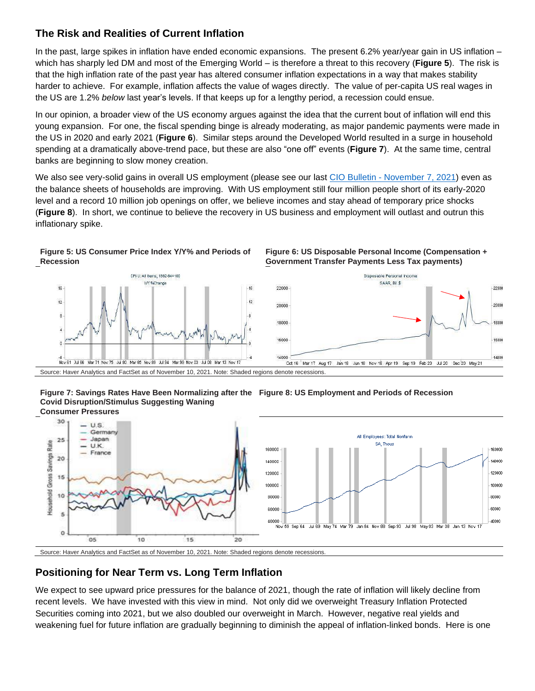## **The Risk and Realities of Current Inflation**

In the past, large spikes in inflation have ended economic expansions. The present 6.2% year/year gain in US inflation – which has sharply led DM and most of the Emerging World – is therefore a threat to this recovery (**Figure 5**). The risk is that the high inflation rate of the past year has altered consumer inflation expectations in a way that makes stability harder to achieve. For example, inflation affects the value of wages directly. The value of per-capita US real wages in the US are 1.2% *below* last year's levels. If that keeps up for a lengthy period, a recession could ensue.

In our opinion, a broader view of the US economy argues against the idea that the current bout of inflation will end this young expansion. For one, the fiscal spending binge is already moderating, as major pandemic payments were made in the US in 2020 and early 2021 (**Figure 6**). Similar steps around the Developed World resulted in a surge in household spending at a dramatically above-trend pace, but these are also "one off" events (**Figure 7**). At the same time, central banks are beginning to slow money creation.

We also see very-solid gains in overall US employment (please see our last CIO Bulletin - [November 7, 2021\)](https://www.privatebank.citibank.com/ivc/docs/quadrant/CIO_bulletin_110721.pdf) even as the balance sheets of households are improving. With US employment still four million people short of its early-2020 level and a record 10 million job openings on offer, we believe incomes and stay ahead of temporary price shocks (**Figure 8**). In short, we continue to believe the recovery in US business and employment will outlast and outrun this inflationary spike.

#### **Figure 5: US Consumer Price Index Y/Y% and Periods of Recession**



**Figure 6: US Disposable Personal Income (Compensation + Government Transfer Payments Less Tax payments)**

Source: Haver Analytics and FactSet as of November 10, 2021. Note: Shaded regions denote recessions.





Source: Haver Analytics and FactSet as of November 10, 2021. Note: Shaded regions denote recessions.

# **Positioning for Near Term vs. Long Term Inflation**

We expect to see upward price pressures for the balance of 2021, though the rate of inflation will likely decline from recent levels. We have invested with this view in mind. Not only did we overweight Treasury Inflation Protected Securities coming into 2021, but we also doubled our overweight in March. However, negative real yields and weakening fuel for future inflation are gradually beginning to diminish the appeal of inflation-linked bonds. Here is one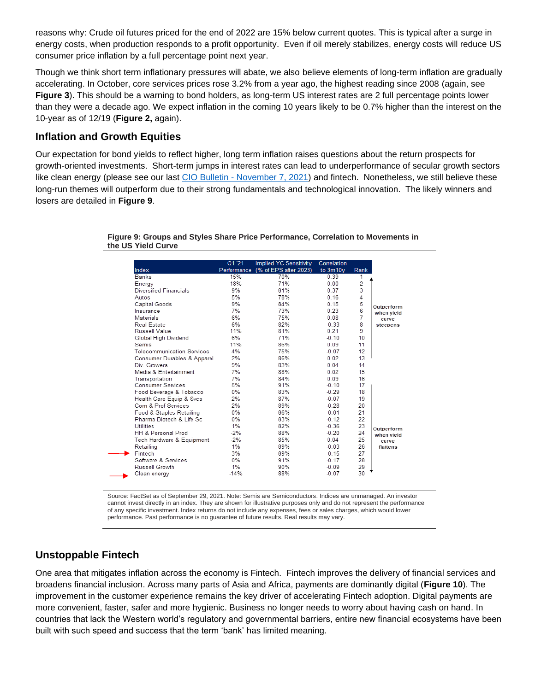reasons why: Crude oil futures priced for the end of 2022 are 15% below current quotes. This is typical after a surge in energy costs, when production responds to a profit opportunity. Even if oil merely stabilizes, energy costs will reduce US consumer price inflation by a full percentage point next year.

Though we think short term inflationary pressures will abate, we also believe elements of long-term inflation are gradually accelerating. In October, core services prices rose 3.2% from a year ago, the highest reading since 2008 (again, see **Figure 3**). This should be a warning to bond holders, as long-term US interest rates are 2 full percentage points lower than they were a decade ago. We expect inflation in the coming 10 years likely to be 0.7% higher than the interest on the 10-year as of 12/19 (**Figure 2,** again).

### **Inflation and Growth Equities**

Our expectation for bond yields to reflect higher, long term inflation raises questions about the return prospects for growth-oriented investments. Short-term jumps in interest rates can lead to underperformance of secular growth sectors like clean energy (please see our last CIO Bulletin - [November 7, 2021\)](https://www.privatebank.citibank.com/ivc/docs/quadrant/CIO_bulletin_110721.pdf) and fintech. Nonetheless, we still believe these long-run themes will outperform due to their strong fundamentals and technological innovation. The likely winners and losers are detailed in **Figure 9**.

**Figure 9: Groups and Styles Share Price Performance, Correlation to Movements in the US Yield Curve**

| Index                       | Q1 '21 | Implied YC Sensitivity<br>Performance (% of EPS after 2023) | Correlation<br>to 3m10 <sub>V</sub> |                |                                               |
|-----------------------------|--------|-------------------------------------------------------------|-------------------------------------|----------------|-----------------------------------------------|
|                             |        |                                                             |                                     | Rank           |                                               |
| <b>Banks</b>                | 15%    | 70%                                                         | 0.39                                | 1              |                                               |
| Energy                      | 18%    | 71%                                                         | 0.00                                | $\overline{2}$ |                                               |
| Diversified Financials      | 9%     | 81%                                                         | 0.37                                | 3              |                                               |
| Autos                       | 5%     | 78%                                                         | 0.16                                | 4              | Outperform<br>when yield<br>curve<br>steepens |
| Capital Goods               | 9%     | 84%                                                         | 0.15                                | 5              |                                               |
| Insurance                   | 7%     | 73%                                                         | 0.23                                | 6              |                                               |
| Materials                   | 6%     | 75%                                                         | 0.08                                | 7              |                                               |
| Real Estate                 | 6%     | 82%                                                         | $-0.33$                             | 8              |                                               |
| Russell Value               | 11%    | 81%                                                         | 0.21                                | 9              |                                               |
| Global High Dividend        | 6%     | 71%                                                         | $-0.10$                             | 10             |                                               |
| <b>Semis</b>                | 11%    | 86%                                                         | 0.09                                | 11             |                                               |
| Telecommunication Services  | 4%     | 75%                                                         | $-0.07$                             | 12             |                                               |
| Consumer Durables & Apparel | 2%     | 86%                                                         | 0.02                                | 13             |                                               |
| Div Growers                 | 9%     | 83%                                                         | 0.04                                | 14             |                                               |
| Media & Entertainment       | 7%     | 88%                                                         | 0.02                                | 15             |                                               |
| Transportation              | 7%     | 84%                                                         | 0.09                                | 16             |                                               |
| Consumer Services           | 5%     | 91%                                                         | $-0.10$                             | 17             |                                               |
| Food Beverage & Tobacco     | $0\%$  | 83%                                                         | $-0.29$                             | 18             |                                               |
| Health Care Equip & Svcs    | 2%     | 87%                                                         | $-0.07$                             | 19             |                                               |
| Com & Prof Services         | 2%     | 89%                                                         | $-0.28$                             | 20             |                                               |
| Food & Staples Retailing    | 0%     | 86%                                                         | $-0.01$                             | 21             |                                               |
| Pharma Biotech & Life Sc.   | 0%     | 83%                                                         | $-0.12$                             | 22             |                                               |
| Utilities                   | 1%     | 82%                                                         | $-0.36$                             | 23             | Outperform                                    |
| HH & Personal Prod          | $-2%$  | 88%                                                         | $-0.20$                             | 24             | when yield                                    |
| Tech Hardware & Equipment   | $-2%$  | 85%                                                         | 0.04                                | 25             | curve                                         |
| Retailing                   | 1%     | 89%                                                         | $-0.03$                             | 26             | flattens                                      |
| Fintech                     | 3%     | 89%                                                         | $-0.15$                             | 27             |                                               |
| Software & Services         | $0\%$  | 91%                                                         | $-0.17$                             | 28             |                                               |
| Russell Growth              | 1%     | 90%                                                         | $-0.09$                             | 29             |                                               |
| Clean energy                | $-14%$ | 88%                                                         | $-0.07$                             | 30             |                                               |

Source: FactSet as of September 29, 2021. Note: Semis are Semiconductors. Indices are unmanaged. An investor cannot invest directly in an index. They are shown for illustrative purposes only and do not represent the performance of any specific investment. Index returns do not include any expenses, fees or sales charges, which would lower performance. Past performance is no guarantee of future results. Real results may vary.

### **Unstoppable Fintech**

One area that mitigates inflation across the economy is Fintech. Fintech improves the delivery of financial services and broadens financial inclusion. Across many parts of Asia and Africa, payments are dominantly digital (**Figure 10**). The improvement in the customer experience remains the key driver of accelerating Fintech adoption. Digital payments are more convenient, faster, safer and more hygienic. Business no longer needs to worry about having cash on hand. In countries that lack the Western world's regulatory and governmental barriers, entire new financial ecosystems have been built with such speed and success that the term 'bank' has limited meaning.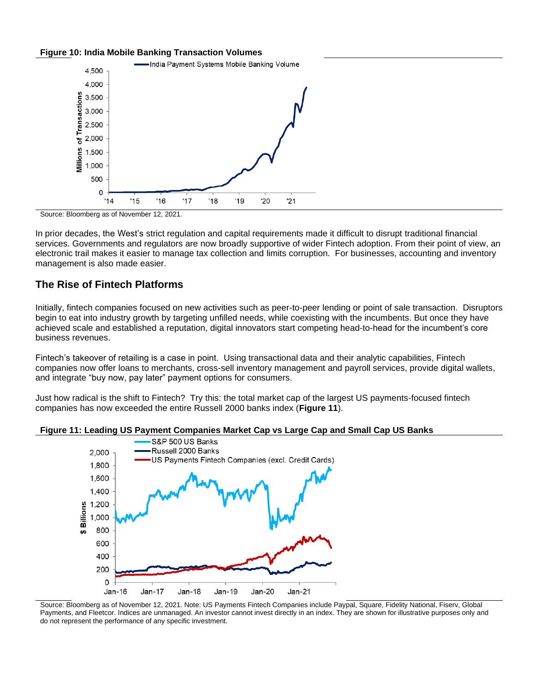#### **Figure 10: India Mobile Banking Transaction Volumes**



Source: Bloomberg as of November 12, 2021.

In prior decades, the West's strict regulation and capital requirements made it difficult to disrupt traditional financial services. Governments and regulators are now broadly supportive of wider Fintech adoption. From their point of view, an electronic trail makes it easier to manage tax collection and limits corruption. For businesses, accounting and inventory management is also made easier.

### **The Rise of Fintech Platforms**

Initially, fintech companies focused on new activities such as peer-to-peer lending or point of sale transaction. Disruptors begin to eat into industry growth by targeting unfilled needs, while coexisting with the incumbents. But once they have achieved scale and established a reputation, digital innovators start competing head-to-head for the incumbent's core business revenues.

Fintech's takeover of retailing is a case in point. Using transactional data and their analytic capabilities, Fintech companies now offer loans to merchants, cross-sell inventory management and payroll services, provide digital wallets, and integrate "buy now, pay later" payment options for consumers.

Just how radical is the shift to Fintech? Try this: the total market cap of the largest US payments-focused fintech companies has now exceeded the entire Russell 2000 banks index (**Figure 11**).





Source: Bloomberg as of November 12, 2021. Note: US Payments Fintech Companies include Paypal, Square, Fidelity National, Fiserv, Global Payments, and Fleetcor. Indices are unmanaged. An investor cannot invest directly in an index. They are shown for illustrative purposes only and do not represent the performance of any specific investment.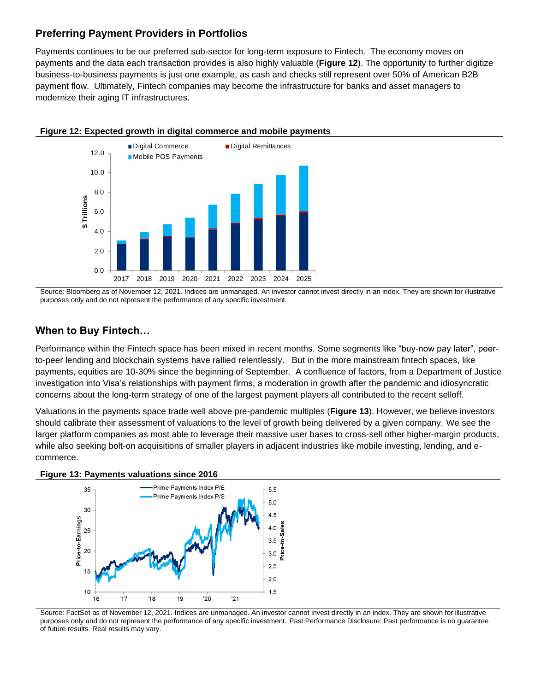## **Preferring Payment Providers in Portfolios**

Payments continues to be our preferred sub-sector for long-term exposure to Fintech. The economy moves on payments and the data each transaction provides is also highly valuable (**Figure 12**). The opportunity to further digitize business-to-business payments is just one example, as cash and checks still represent over 50% of American B2B payment flow. Ultimately, Fintech companies may become the infrastructure for banks and asset managers to modernize their aging IT infrastructures.



**Figure 12: Expected growth in digital commerce and mobile payments** 

Source: Bloomberg as of November 12, 2021. Indices are unmanaged. An investor cannot invest directly in an index. They are shown for illustrative purposes only and do not represent the performance of any specific investment.

# **When to Buy Fintech…**

Performance within the Fintech space has been mixed in recent months. Some segments like "buy-now pay later", peerto-peer lending and blockchain systems have rallied relentlessly. But in the more mainstream fintech spaces, like payments, equities are 10-30% since the beginning of September. A confluence of factors, from a Department of Justice investigation into Visa's relationships with payment firms, a moderation in growth after the pandemic and idiosyncratic concerns about the long-term strategy of one of the largest payment players all contributed to the recent selloff.

Valuations in the payments space trade well above pre-pandemic multiples (**Figure 13**). However, we believe investors should calibrate their assessment of valuations to the level of growth being delivered by a given company. We see the larger platform companies as most able to leverage their massive user bases to cross-sell other higher-margin products, while also seeking bolt-on acquisitions of smaller players in adjacent industries like mobile investing, lending, and ecommerce.





Source: FactSet as of November 12, 2021. Indices are unmanaged. An investor cannot invest directly in an index. They are shown for illustrative purposes only and do not represent the performance of any specific investment. Past Performance Disclosure: Past performance is no guarantee of future results. Real results may vary.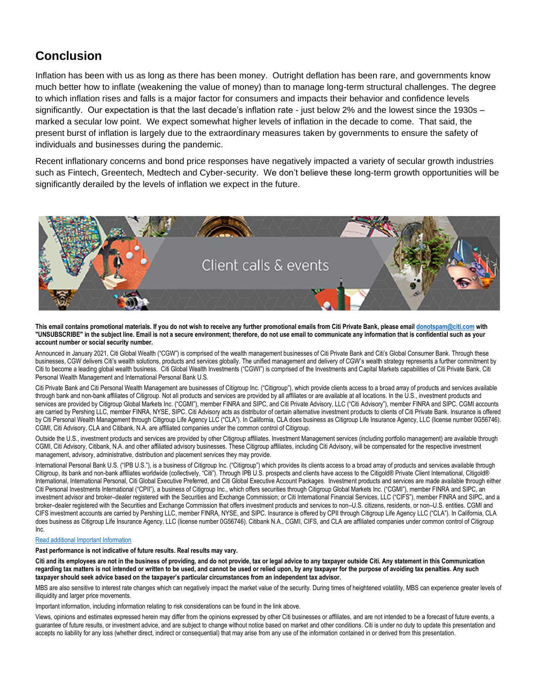# **Conclusion**

Inflation has been with us as long as there has been money. Outright deflation has been rare, and governments know much better how to inflate (weakening the value of money) than to manage long-term structural challenges. The degree to which inflation rises and falls is a major factor for consumers and impacts their behavior and confidence levels significantly. Our expectation is that the last decade's inflation rate - just below 2% and the lowest since the 1930s – marked a secular low point. We expect somewhat higher levels of inflation in the decade to come. That said, the present burst of inflation is largely due to the extraordinary measures taken by governments to ensure the safety of individuals and businesses during the pandemic.

Recent inflationary concerns and bond price responses have negatively impacted a variety of secular growth industries such as Fintech, Greentech, Medtech and Cyber-security. We don't believe these long-term growth opportunities will be significantly derailed by the levels of inflation we expect in the future.



**This email contains promotional materials. If you do not wish to receive any further promotional emails from Citi Private Bank, please emai[l donotspam@citi.com](mailto:donotspam@citi.com) with "UNSUBSCRIBE" in the subject line. Email is not a secure environment; therefore, do not use email to communicate any information that is confidential such as your account number or social security number.**

Announced in January 2021, Citi Global Wealth ("CGW") is comprised of the wealth management businesses of Citi Private Bank and Citi's Global Consumer Bank. Through these businesses, CGW delivers Citi's wealth solutions, products and services globally. The unified management and delivery of CGW's wealth strategy represents a further commitment by Citi to become a leading global wealth business. Citi Global Wealth Investments ("CGWI") is comprised of the Investments and Capital Markets capabilities of Citi Private Bank, Citi Personal Wealth Management and International Personal Bank U.S.

Citi Private Bank and Citi Personal Wealth Management are businesses of Citigroup Inc. ("Citigroup"), which provide clients access to a broad array of products and services available through bank and non-bank affiliates of Citigroup. Not all products and services are provided by all affiliates or are available at all locations. In the U.S., investment products and services are provided by Citigroup Global Markets Inc. ("CGMI"), member FINRA and SIPC, and Citi Private Advisory, LLC ("Citi Advisory"), member FINRA and SIPC. CGMI accounts are carried by Pershing LLC, member FINRA, NYSE, SIPC. Citi Advisory acts as distributor of certain alternative investment products to clients of Citi Private Bank. Insurance is offered by Citi Personal Wealth Management through Citigroup Life Agency LLC ("CLA"). In California, CLA does business as Citigroup Life Insurance Agency, LLC (license number 0G56746). CGMI, Citi Advisory, CLA and Citibank, N.A. are affiliated companies under the common control of Citigroup.

Outside the U.S., investment products and services are provided by other Citigroup affiliates. Investment Management services (including portfolio management) are available through CGMI, Citi Advisory, Citibank, N.A. and other affiliated advisory businesses. These Citigroup affiliates, including Citi Advisory, will be compensated for the respective investment management, advisory, administrative, distribution and placement services they may provide.

International Personal Bank U.S. ("IPB U.S."), is a business of Citigroup Inc. ("Citigroup") which provides its clients access to a broad array of products and services available through Citigroup, its bank and non-bank affiliates worldwide (collectively, "Citi"). Through IPB U.S. prospects and clients have access to the Citigold® Private Client International, Citigold® International, International Personal, Citi Global Executive Preferred, and Citi Global Executive Account Packages. Investment products and services are made available through either Citi Personal Investments International ("CPII"), a business of Citigroup Inc., which offers securities through Citigroup Global Markets Inc. ("CGMI"), member FINRA and SIPC, an investment advisor and broker–dealer registered with the Securities and Exchange Commission; or Citi International Financial Services, LLC ("CIFS"), member FINRA and SIPC, and a broker–dealer registered with the Securities and Exchange Commission that offers investment products and services to non–U.S. citizens, residents, or non–U.S. entities. CGMI and CIFS investment accounts are carried by Pershing LLC, member FINRA, NYSE, and SIPC. Insurance is offered by CPII through Citigroup Life Agency LLC ("CLA"). In California, CLA does business as Citigroup Life Insurance Agency, LLC (license number 0G56746). Citibank N.A., CGMI, CIFS, and CLA are affiliated companies under common control of Citigroup Inc.

#### [Read additional Important Information](https://www.privatebank.citibank.com/important-disclosure)

**Past performance is not indicative of future results. Real results may vary.**

**Citi and its employees are not in the business of providing, and do not provide, tax or legal advice to any taxpayer outside Citi. Any statement in this Communication regarding tax matters is not intended or written to be used, and cannot be used or relied upon, by any taxpayer for the purpose of avoiding tax penalties. Any such taxpayer should seek advice based on the taxpayer's particular circumstances from an independent tax advisor.** 

MBS are also sensitive to interest rate changes which can negatively impact the market value of the security. During times of heightened volatility, MBS can experience greater levels of illiquidity and larger price movements.

Important information, including information relating to risk considerations can be found in the link above.

Views, opinions and estimates expressed herein may differ from the opinions expressed by other Citi businesses or affiliates, and are not intended to be a forecast of future events, a guarantee of future results, or investment advice, and are subject to change without notice based on market and other conditions. Citi is under no duty to update this presentation and accepts no liability for any loss (whether direct, indirect or consequential) that may arise from any use of the information contained in or derived from this presentation.